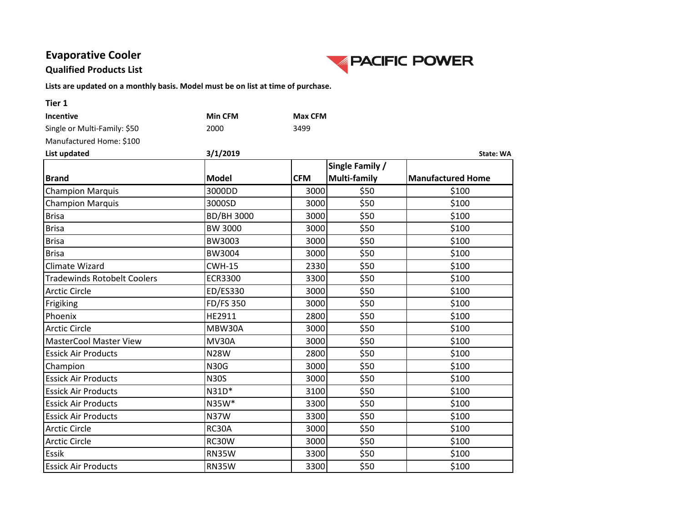### **Evaporative Cooler**

#### **Qualified Products List**



| Tier 1                             |                  |                |                 |                          |
|------------------------------------|------------------|----------------|-----------------|--------------------------|
| Incentive                          | <b>Min CFM</b>   | <b>Max CFM</b> |                 |                          |
| Single or Multi-Family: \$50       | 2000             | 3499           |                 |                          |
| Manufactured Home: \$100           |                  |                |                 |                          |
| List updated                       | 3/1/2019         |                |                 | <b>State: WA</b>         |
|                                    |                  |                | Single Family / |                          |
| <b>Brand</b>                       | <b>Model</b>     | <b>CFM</b>     | Multi-family    | <b>Manufactured Home</b> |
| <b>Champion Marquis</b>            | 3000DD           | 3000           | \$50            | \$100                    |
| <b>Champion Marquis</b>            | 3000SD           | 3000           | \$50            | \$100                    |
| <b>Brisa</b>                       | BD/BH 3000       | 3000           | \$50            | \$100                    |
| <b>Brisa</b>                       | <b>BW 3000</b>   | 3000           | \$50            | \$100                    |
| <b>Brisa</b>                       | BW3003           | 3000           | \$50            | \$100                    |
| <b>Brisa</b>                       | BW3004           | 3000           | \$50            | \$100                    |
| <b>Climate Wizard</b>              | <b>CWH-15</b>    | 2330           | \$50            | \$100                    |
| <b>Tradewinds Rotobelt Coolers</b> | <b>ECR3300</b>   | 3300           | \$50            | \$100                    |
| <b>Arctic Circle</b>               | ED/ES330         | 3000           | \$50            | \$100                    |
| Frigiking                          | <b>FD/FS 350</b> | 3000           | \$50            | \$100                    |
| Phoenix                            | HE2911           | 2800           | \$50            | \$100                    |
| <b>Arctic Circle</b>               | MBW30A           | 3000           | \$50            | \$100                    |
| <b>MasterCool Master View</b>      | <b>MV30A</b>     | 3000           | \$50            | \$100                    |
| <b>Essick Air Products</b>         | <b>N28W</b>      | 2800           | \$50            | \$100                    |
| Champion                           | <b>N30G</b>      | 3000           | \$50            | \$100                    |
| <b>Essick Air Products</b>         | <b>N30S</b>      | 3000           | \$50            | \$100                    |
| <b>Essick Air Products</b>         | $N31D*$          | 3100           | \$50            | \$100                    |
| <b>Essick Air Products</b>         | N35W*            | 3300           | \$50            | \$100                    |
| <b>Essick Air Products</b>         | <b>N37W</b>      | 3300           | \$50            | \$100                    |
| <b>Arctic Circle</b>               | RC30A            | 3000           | \$50            | \$100                    |
| <b>Arctic Circle</b>               | RC30W            | 3000           | \$50            | \$100                    |
| Essik                              | <b>RN35W</b>     | 3300           | \$50            | \$100                    |
| <b>Essick Air Products</b>         | <b>RN35W</b>     | 3300           | \$50            | \$100                    |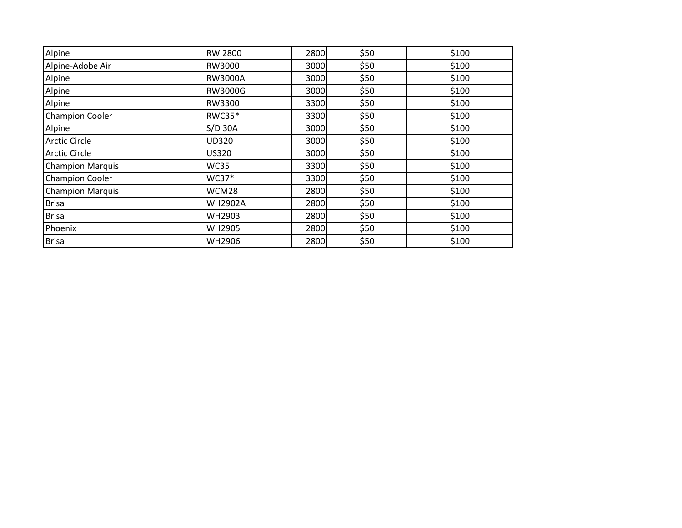| Alpine                  | <b>RW 2800</b> | 2800 | \$50 | \$100 |
|-------------------------|----------------|------|------|-------|
| Alpine-Adobe Air        | RW3000         | 3000 | \$50 | \$100 |
| Alpine                  | RW3000A        | 3000 | \$50 | \$100 |
| Alpine                  | RW3000G        | 3000 | \$50 | \$100 |
| Alpine                  | RW3300         | 3300 | \$50 | \$100 |
| <b>Champion Cooler</b>  | <b>RWC35*</b>  | 3300 | \$50 | \$100 |
| Alpine                  | $S/D$ 30A      | 3000 | \$50 | \$100 |
| <b>Arctic Circle</b>    | <b>UD320</b>   | 3000 | \$50 | \$100 |
| <b>Arctic Circle</b>    | <b>US320</b>   | 3000 | \$50 | \$100 |
| <b>Champion Marquis</b> | <b>WC35</b>    | 3300 | \$50 | \$100 |
| <b>Champion Cooler</b>  | WC37*          | 3300 | \$50 | \$100 |
| <b>Champion Marquis</b> | WCM28          | 2800 | \$50 | \$100 |
| <b>Brisa</b>            | <b>WH2902A</b> | 2800 | \$50 | \$100 |
| <b>Brisa</b>            | WH2903         | 2800 | \$50 | \$100 |
| Phoenix                 | <b>WH2905</b>  | 2800 | \$50 | \$100 |
| <b>Brisa</b>            | <b>WH2906</b>  | 2800 | \$50 | \$100 |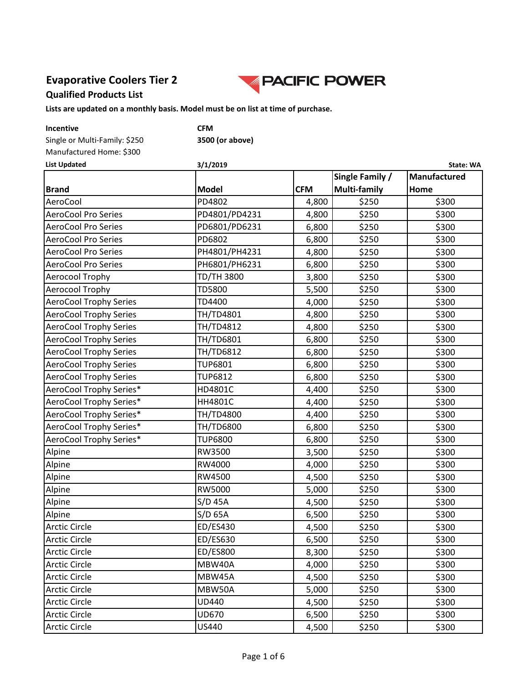### **Evaporative Coolers Tier 2 Qualified Products List**



| Incentive                     | <b>CFM</b>        |            |                     |              |
|-------------------------------|-------------------|------------|---------------------|--------------|
| Single or Multi-Family: \$250 | 3500 (or above)   |            |                     |              |
| Manufactured Home: \$300      |                   |            |                     |              |
| <b>List Updated</b>           | 3/1/2019          |            |                     | State: WA    |
|                               |                   |            | Single Family /     | Manufactured |
| <b>Brand</b>                  | <b>Model</b>      | <b>CFM</b> | <b>Multi-family</b> | Home         |
| AeroCool                      | PD4802            | 4,800      | \$250               | \$300        |
| <b>AeroCool Pro Series</b>    | PD4801/PD4231     | 4,800      | \$250               | \$300        |
| <b>AeroCool Pro Series</b>    | PD6801/PD6231     | 6,800      | \$250               | \$300        |
| <b>AeroCool Pro Series</b>    | PD6802            | 6,800      | \$250               | \$300        |
| <b>AeroCool Pro Series</b>    | PH4801/PH4231     | 4,800      | \$250               | \$300        |
| <b>AeroCool Pro Series</b>    | PH6801/PH6231     | 6,800      | \$250               | \$300        |
| Aerocool Trophy               | <b>TD/TH 3800</b> | 3,800      | \$250               | \$300        |
| Aerocool Trophy               | <b>TD5800</b>     | 5,500      | \$250               | \$300        |
| <b>AeroCool Trophy Series</b> | TD4400            | 4,000      | \$250               | \$300        |
| <b>AeroCool Trophy Series</b> | TH/TD4801         | 4,800      | \$250               | \$300        |
| <b>AeroCool Trophy Series</b> | TH/TD4812         | 4,800      | \$250               | \$300        |
| <b>AeroCool Trophy Series</b> | TH/TD6801         | 6,800      | \$250               | \$300        |
| <b>AeroCool Trophy Series</b> | TH/TD6812         | 6,800      | \$250               | \$300        |
| <b>AeroCool Trophy Series</b> | <b>TUP6801</b>    | 6,800      | \$250               | \$300        |
| <b>AeroCool Trophy Series</b> | <b>TUP6812</b>    | 6,800      | \$250               | \$300        |
| AeroCool Trophy Series*       | HD4801C           | 4,400      | \$250               | \$300        |
| AeroCool Trophy Series*       | HH4801C           | 4,400      | \$250               | \$300        |
| AeroCool Trophy Series*       | TH/TD4800         | 4,400      | \$250               | \$300        |
| AeroCool Trophy Series*       | TH/TD6800         | 6,800      | \$250               | \$300        |
| AeroCool Trophy Series*       | <b>TUP6800</b>    | 6,800      | \$250               | \$300        |
| Alpine                        | RW3500            | 3,500      | \$250               | \$300        |
| Alpine                        | RW4000            | 4,000      | \$250               | \$300        |
| Alpine                        | RW4500            | 4,500      | \$250               | \$300        |
| Alpine                        | RW5000            | 5,000      | \$250               | \$300        |
| Alpine                        | $S/D$ 45A         | 4,500      | \$250               | \$300        |
| Alpine                        | $S/D$ 65A         | 6,500      | \$250               | \$300        |
| <b>Arctic Circle</b>          | ED/ES430          | 4,500      | \$250               | \$300        |
| <b>Arctic Circle</b>          | ED/ES630          | 6,500      | \$250               | \$300        |
| <b>Arctic Circle</b>          | <b>ED/ES800</b>   | 8,300      | \$250               | \$300        |
| <b>Arctic Circle</b>          | MBW40A            | 4,000      | \$250               | \$300        |
| <b>Arctic Circle</b>          | MBW45A            | 4,500      | \$250               | \$300        |
| <b>Arctic Circle</b>          | MBW50A            | 5,000      | \$250               | \$300        |
| <b>Arctic Circle</b>          | <b>UD440</b>      | 4,500      | \$250               | \$300        |
| <b>Arctic Circle</b>          | <b>UD670</b>      | 6,500      | \$250               | \$300        |
| <b>Arctic Circle</b>          | US440             | 4,500      | \$250               | \$300        |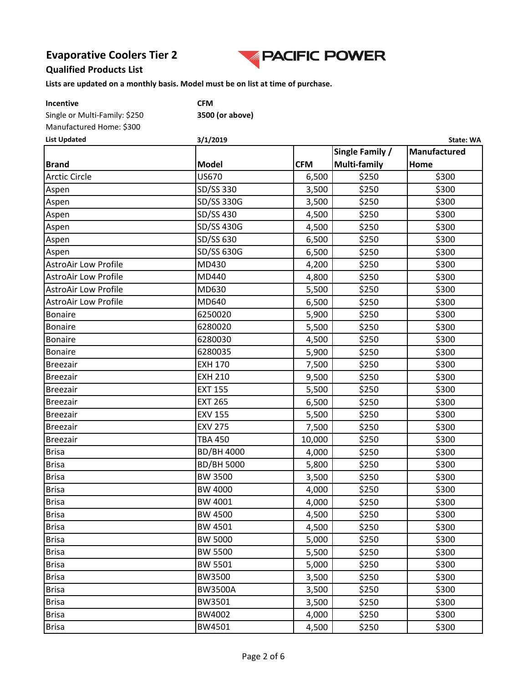

#### **Qualified Products List**

**Lists are updated on a monthly basis. Model must be on list at time of purchase.**

| Incentive                     | <b>CFM</b> |
|-------------------------------|------------|
| Single or Multi-Family: \$250 | 3500       |
| Manufactured Home: \$300      |            |

500 (or above)

| Manufactured Home: \$300<br><b>List Updated</b> | 3/1/2019<br>State: WA |            |                 |              |  |
|-------------------------------------------------|-----------------------|------------|-----------------|--------------|--|
|                                                 |                       |            | Single Family / | Manufactured |  |
| <b>Brand</b>                                    | <b>Model</b>          | <b>CFM</b> | Multi-family    | Home         |  |
| <b>Arctic Circle</b>                            | <b>US670</b>          | 6,500      | \$250           | \$300        |  |
| Aspen                                           | SD/SS 330             | 3,500      | \$250           | \$300        |  |
| Aspen                                           | SD/SS 330G            | 3,500      | \$250           | \$300        |  |
| Aspen                                           | SD/SS 430             | 4,500      | \$250           | \$300        |  |
| Aspen                                           | SD/SS 430G            | 4,500      | \$250           | \$300        |  |
| Aspen                                           | SD/SS 630             | 6,500      | \$250           | \$300        |  |
| Aspen                                           | SD/SS 630G            | 6,500      | \$250           | \$300        |  |
| <b>AstroAir Low Profile</b>                     | MD430                 | 4,200      | \$250           | \$300        |  |
| <b>AstroAir Low Profile</b>                     | MD440                 | 4,800      | \$250           | \$300        |  |
| <b>AstroAir Low Profile</b>                     | MD630                 | 5,500      | \$250           | \$300        |  |
| <b>AstroAir Low Profile</b>                     | MD640                 | 6,500      | \$250           | \$300        |  |
| <b>Bonaire</b>                                  | 6250020               | 5,900      | \$250           | \$300        |  |
| <b>Bonaire</b>                                  | 6280020               | 5,500      | \$250           | \$300        |  |
| <b>Bonaire</b>                                  | 6280030               | 4,500      | \$250           | \$300        |  |
| <b>Bonaire</b>                                  | 6280035               | 5,900      | \$250           | \$300        |  |
| <b>Breezair</b>                                 | <b>EXH 170</b>        | 7,500      | \$250           | \$300        |  |
| <b>Breezair</b>                                 | <b>EXH 210</b>        | 9,500      | \$250           | \$300        |  |
| <b>Breezair</b>                                 | <b>EXT 155</b>        | 5,500      | \$250           | \$300        |  |
| <b>Breezair</b>                                 | <b>EXT 265</b>        | 6,500      | \$250           | \$300        |  |
| <b>Breezair</b>                                 | <b>EXV 155</b>        | 5,500      | \$250           | \$300        |  |
| <b>Breezair</b>                                 | <b>EXV 275</b>        | 7,500      | \$250           | \$300        |  |
| <b>Breezair</b>                                 | <b>TBA 450</b>        | 10,000     | \$250           | \$300        |  |
| <b>Brisa</b>                                    | <b>BD/BH 4000</b>     | 4,000      | \$250           | \$300        |  |
| <b>Brisa</b>                                    | <b>BD/BH 5000</b>     | 5,800      | \$250           | \$300        |  |
| <b>Brisa</b>                                    | <b>BW 3500</b>        | 3,500      | \$250           | \$300        |  |
| <b>Brisa</b>                                    | <b>BW 4000</b>        | 4,000      | \$250           | \$300        |  |
| <b>Brisa</b>                                    | BW 4001               | 4,000      | \$250           | \$300        |  |
| Brisa                                           | <b>BW 4500</b>        | 4,500      | \$250           | \$300        |  |
| <b>Brisa</b>                                    | BW 4501               | 4,500      | \$250           | \$300        |  |
| <b>Brisa</b>                                    | <b>BW 5000</b>        | 5,000      | \$250           | \$300        |  |
| <b>Brisa</b>                                    | <b>BW 5500</b>        | 5,500      | \$250           | \$300        |  |
| <b>Brisa</b>                                    | <b>BW 5501</b>        | 5,000      | \$250           | \$300        |  |
| <b>Brisa</b>                                    | BW3500                | 3,500      | \$250           | \$300        |  |
| <b>Brisa</b>                                    | <b>BW3500A</b>        | 3,500      | \$250           | \$300        |  |
| <b>Brisa</b>                                    | BW3501                | 3,500      | \$250           | \$300        |  |
| <b>Brisa</b>                                    | BW4002                | 4,000      | \$250           | \$300        |  |
| <b>Brisa</b>                                    | BW4501                | 4,500      | \$250           | \$300        |  |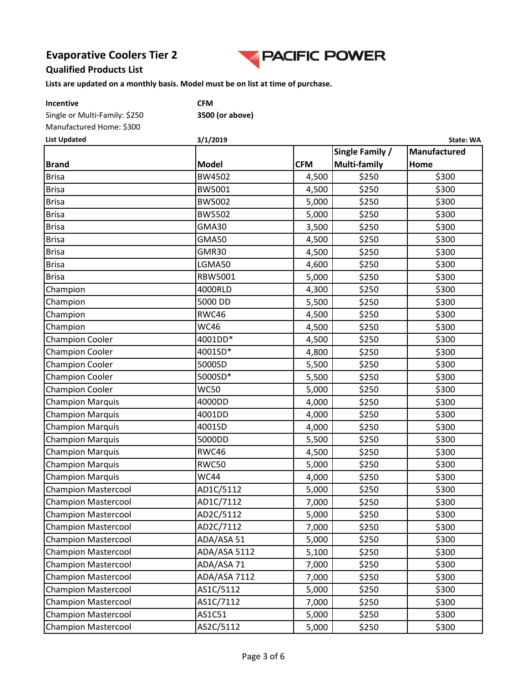

#### **Qualified Products List**

**Lists are updated on a monthly basis. Model must be on list at time of purchase.**

| <b>Incentive</b>              | <b>CFM</b> |
|-------------------------------|------------|
| Single or Multi-Family: \$250 | 3500       |
| Manufactured Home: \$300      |            |

Single or Multi-Family: \$250 **3500 (or above)**

| <b>List Updated</b>        | 3/1/2019     | State: WA  |                     |              |  |  |
|----------------------------|--------------|------------|---------------------|--------------|--|--|
|                            |              |            | Single Family /     | Manufactured |  |  |
| <b>Brand</b>               | <b>Model</b> | <b>CFM</b> | <b>Multi-family</b> | Home         |  |  |
| <b>Brisa</b>               | BW4502       | 4,500      | \$250               | \$300        |  |  |
| <b>Brisa</b>               | BW5001       | 4,500      | \$250               | \$300        |  |  |
| <b>Brisa</b>               | BW5002       | 5,000      | \$250               | \$300        |  |  |
| <b>Brisa</b>               | BW5502       | 5,000      | \$250               | \$300        |  |  |
| <b>Brisa</b>               | GMA30        | 3,500      | \$250               | \$300        |  |  |
| <b>Brisa</b>               | <b>GMA50</b> | 4,500      | \$250               | \$300        |  |  |
| <b>Brisa</b>               | GMR30        | 4,500      | \$250               | \$300        |  |  |
| <b>Brisa</b>               | LGMA50       | 4,600      | \$250               | \$300        |  |  |
| <b>Brisa</b>               | RBW5001      | 5,000      | \$250               | \$300        |  |  |
| Champion                   | 4000RLD      | 4,300      | \$250               | \$300        |  |  |
| Champion                   | 5000 DD      | 5,500      | \$250               | \$300        |  |  |
| Champion                   | RWC46        | 4,500      | \$250               | \$300        |  |  |
| Champion                   | <b>WC46</b>  | 4,500      | \$250               | \$300        |  |  |
| <b>Champion Cooler</b>     | 4001DD*      | 4,500      | \$250               | \$300        |  |  |
| <b>Champion Cooler</b>     | 4001SD*      | 4,800      | \$250               | \$300        |  |  |
| <b>Champion Cooler</b>     | 5000SD       | 5,500      | \$250               | \$300        |  |  |
| <b>Champion Cooler</b>     | 5000SD*      | 5,500      | \$250               | \$300        |  |  |
| <b>Champion Cooler</b>     | <b>WC50</b>  | 5,000      | \$250               | \$300        |  |  |
| <b>Champion Marquis</b>    | 4000DD       | 4,000      | \$250               | \$300        |  |  |
| <b>Champion Marquis</b>    | 4001DD       | 4,000      | \$250               | \$300        |  |  |
| <b>Champion Marquis</b>    | 4001SD       | 4,000      | \$250               | \$300        |  |  |
| <b>Champion Marquis</b>    | 5000DD       | 5,500      | \$250               | \$300        |  |  |
| <b>Champion Marquis</b>    | RWC46        | 4,500      | \$250               | \$300        |  |  |
| <b>Champion Marquis</b>    | <b>RWC50</b> | 5,000      | \$250               | \$300        |  |  |
| <b>Champion Marquis</b>    | <b>WC44</b>  | 4,000      | \$250               | \$300        |  |  |
| <b>Champion Mastercool</b> | AD1C/5112    | 5,000      | \$250               | \$300        |  |  |
| <b>Champion Mastercool</b> | AD1C/7112    | 7,000      | \$250               | \$300        |  |  |
| <b>Champion Mastercool</b> | AD2C/5112    | 5,000      | \$250               | \$300        |  |  |
| <b>Champion Mastercool</b> | AD2C/7112    | 7,000      | \$250               | \$300        |  |  |
| <b>Champion Mastercool</b> | ADA/ASA 51   | 5,000      | \$250               | \$300        |  |  |
| <b>Champion Mastercool</b> | ADA/ASA 5112 | 5,100      | \$250               | \$300        |  |  |
| <b>Champion Mastercool</b> | ADA/ASA 71   | 7,000      | \$250               | \$300        |  |  |
| <b>Champion Mastercool</b> | ADA/ASA 7112 | 7,000      | \$250               | \$300        |  |  |
| <b>Champion Mastercool</b> | AS1C/5112    | 5,000      | \$250               | \$300        |  |  |
| <b>Champion Mastercool</b> | AS1C/7112    | 7,000      | \$250               | \$300        |  |  |
| <b>Champion Mastercool</b> | AS1C51       | 5,000      | \$250               | \$300        |  |  |
| <b>Champion Mastercool</b> | AS2C/5112    | 5,000      | \$250               | \$300        |  |  |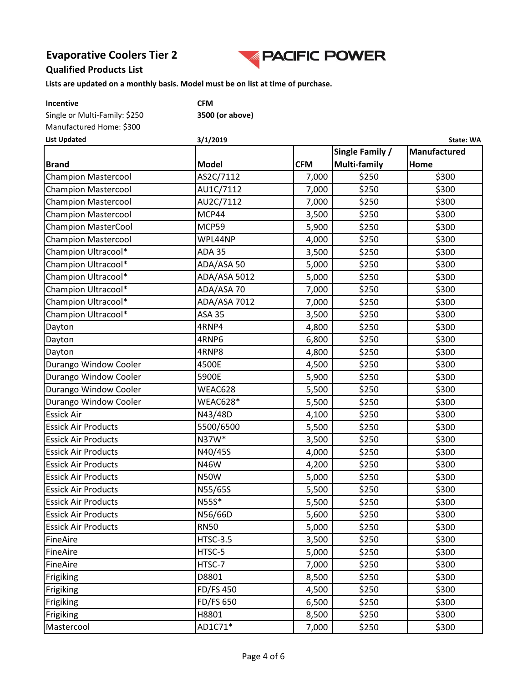

#### **Qualified Products List**

| Incentive                     | <b>CFM</b>       |            |                 |              |
|-------------------------------|------------------|------------|-----------------|--------------|
| Single or Multi-Family: \$250 | 3500 (or above)  |            |                 |              |
| Manufactured Home: \$300      |                  |            |                 |              |
| <b>List Updated</b>           | 3/1/2019         |            |                 | State: WA    |
|                               |                  |            | Single Family / | Manufactured |
| <b>Brand</b>                  | <b>Model</b>     | <b>CFM</b> | Multi-family    | Home         |
| <b>Champion Mastercool</b>    | AS2C/7112        | 7,000      | \$250           | \$300        |
| <b>Champion Mastercool</b>    | AU1C/7112        | 7,000      | \$250           | \$300        |
| <b>Champion Mastercool</b>    | AU2C/7112        | 7,000      | \$250           | \$300        |
| <b>Champion Mastercool</b>    | MCP44            | 3,500      | \$250           | \$300        |
| <b>Champion MasterCool</b>    | MCP59            | 5,900      | \$250           | \$300        |
| <b>Champion Mastercool</b>    | WPL44NP          | 4,000      | \$250           | \$300        |
| Champion Ultracool*           | <b>ADA 35</b>    | 3,500      | \$250           | \$300        |
| Champion Ultracool*           | ADA/ASA 50       | 5,000      | \$250           | \$300        |
| Champion Ultracool*           | ADA/ASA 5012     | 5,000      | \$250           | \$300        |
| Champion Ultracool*           | ADA/ASA 70       | 7,000      | \$250           | \$300        |
| Champion Ultracool*           | ADA/ASA 7012     | 7,000      | \$250           | \$300        |
| Champion Ultracool*           | <b>ASA 35</b>    | 3,500      | \$250           | \$300        |
| Dayton                        | 4RNP4            | 4,800      | \$250           | \$300        |
| Dayton                        | 4RNP6            | 6,800      | \$250           | \$300        |
| Dayton                        | 4RNP8            | 4,800      | \$250           | \$300        |
| Durango Window Cooler         | 4500E            | 4,500      | \$250           | \$300        |
| Durango Window Cooler         | 5900E            | 5,900      | \$250           | \$300        |
| Durango Window Cooler         | WEAC628          | 5,500      | \$250           | \$300        |
| Durango Window Cooler         | WEAC628*         | 5,500      | \$250           | \$300        |
| <b>Essick Air</b>             | N43/48D          | 4,100      | \$250           | \$300        |
| <b>Essick Air Products</b>    | 5500/6500        | 5,500      | \$250           | \$300        |
| <b>Essick Air Products</b>    | N37W*            | 3,500      | \$250           | \$300        |
| <b>Essick Air Products</b>    | N40/45S          | 4,000      | \$250           | \$300        |
| <b>Essick Air Products</b>    | N46W             | 4,200      | \$250           | \$300        |
| <b>Essick Air Products</b>    | <b>N50W</b>      | 5,000      | \$250           | \$300        |
| <b>Essick Air Products</b>    | N55/65S          | 5,500      | \$250           | \$300        |
| <b>Essick Air Products</b>    | N55S*            | 5,500      | \$250           | \$300        |
| <b>Essick Air Products</b>    | N56/66D          | 5,600      | \$250           | \$300        |
| <b>Essick Air Products</b>    | <b>RN50</b>      | 5,000      | \$250           | \$300        |
| FineAire                      | <b>HTSC-3.5</b>  | 3,500      | \$250           | \$300        |
| FineAire                      | HTSC-5           | 5,000      | \$250           | \$300        |
| FineAire                      | HTSC-7           | 7,000      | \$250           | \$300        |
| Frigiking                     | D8801            | 8,500      | \$250           | \$300        |
| Frigiking                     | <b>FD/FS450</b>  | 4,500      | \$250           | \$300        |
| Frigiking                     | <b>FD/FS 650</b> | 6,500      | \$250           | \$300        |
| Frigiking                     | H8801            | 8,500      | \$250           | \$300        |
| Mastercool                    | AD1C71*          | 7,000      | \$250           | \$300        |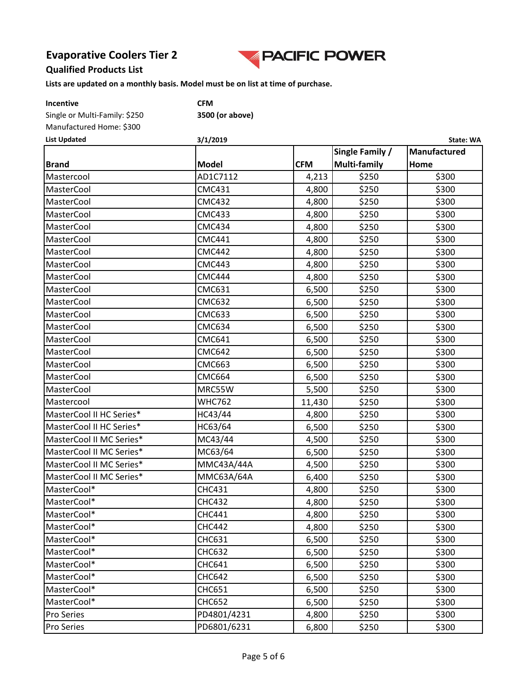

#### **Qualified Products List**

| Incentive                     | <b>CFM</b>      |            |                 |              |
|-------------------------------|-----------------|------------|-----------------|--------------|
| Single or Multi-Family: \$250 | 3500 (or above) |            |                 |              |
| Manufactured Home: \$300      |                 |            |                 |              |
| <b>List Updated</b>           | 3/1/2019        |            |                 | State: WA    |
|                               |                 |            | Single Family / | Manufactured |
| <b>Brand</b>                  | <b>Model</b>    | <b>CFM</b> | Multi-family    | Home         |
| Mastercool                    | AD1C7112        | 4,213      | \$250           | \$300        |
| MasterCool                    | <b>CMC431</b>   | 4,800      | \$250           | \$300        |
| MasterCool                    | <b>CMC432</b>   | 4,800      | \$250           | \$300        |
| <b>MasterCool</b>             | <b>CMC433</b>   | 4,800      | \$250           | \$300        |
| MasterCool                    | <b>CMC434</b>   | 4,800      | \$250           | \$300        |
| <b>MasterCool</b>             | <b>CMC441</b>   | 4,800      | \$250           | \$300        |
| <b>MasterCool</b>             | <b>CMC442</b>   | 4,800      | \$250           | \$300        |
| <b>MasterCool</b>             | <b>CMC443</b>   | 4,800      | \$250           | \$300        |
| MasterCool                    | <b>CMC444</b>   | 4,800      | \$250           | \$300        |
| <b>MasterCool</b>             | <b>CMC631</b>   | 6,500      | \$250           | \$300        |
| <b>MasterCool</b>             | <b>CMC632</b>   | 6,500      | \$250           | \$300        |
| <b>MasterCool</b>             | <b>CMC633</b>   | 6,500      | \$250           | \$300        |
| MasterCool                    | <b>CMC634</b>   | 6,500      | \$250           | \$300        |
| <b>MasterCool</b>             | <b>CMC641</b>   | 6,500      | \$250           | \$300        |
| <b>MasterCool</b>             | <b>CMC642</b>   | 6,500      | \$250           | \$300        |
| MasterCool                    | <b>CMC663</b>   | 6,500      | \$250           | \$300        |
| MasterCool                    | <b>CMC664</b>   | 6,500      | \$250           | \$300        |
| <b>MasterCool</b>             | MRC55W          | 5,500      | \$250           | \$300        |
| Mastercool                    | <b>WHC762</b>   | 11,430     | \$250           | \$300        |
| MasterCool II HC Series*      | HC43/44         | 4,800      | \$250           | \$300        |
| MasterCool II HC Series*      | HC63/64         | 6,500      | \$250           | \$300        |
| MasterCool II MC Series*      | MC43/44         | 4,500      | \$250           | \$300        |
| MasterCool II MC Series*      | MC63/64         | 6,500      | \$250           | \$300        |
| MasterCool II MC Series*      | MMC43A/44A      | 4,500      | \$250           | \$300        |
| MasterCool II MC Series*      | MMC63A/64A      | 6,400      | \$250           | \$300        |
| MasterCool*                   | <b>CHC431</b>   | 4,800      | \$250           | \$300        |
| MasterCool*                   | <b>CHC432</b>   | 4,800      | \$250           | \$300        |
| MasterCool*                   | <b>CHC441</b>   | 4,800      | \$250           | \$300        |
| MasterCool*                   | <b>CHC442</b>   | 4,800      | \$250           | \$300        |
| MasterCool*                   | CHC631          | 6,500      | \$250           | \$300        |
| MasterCool*                   | <b>CHC632</b>   | 6,500      | \$250           | \$300        |
| MasterCool*                   | <b>CHC641</b>   | 6,500      | \$250           | \$300        |
| MasterCool*                   | <b>CHC642</b>   | 6,500      | \$250           | \$300        |
| MasterCool*                   | <b>CHC651</b>   | 6,500      | \$250           | \$300        |
| MasterCool*                   | <b>CHC652</b>   | 6,500      | \$250           | \$300        |
| Pro Series                    | PD4801/4231     | 4,800      | \$250           | \$300        |
| Pro Series                    | PD6801/6231     | 6,800      | \$250           | \$300        |